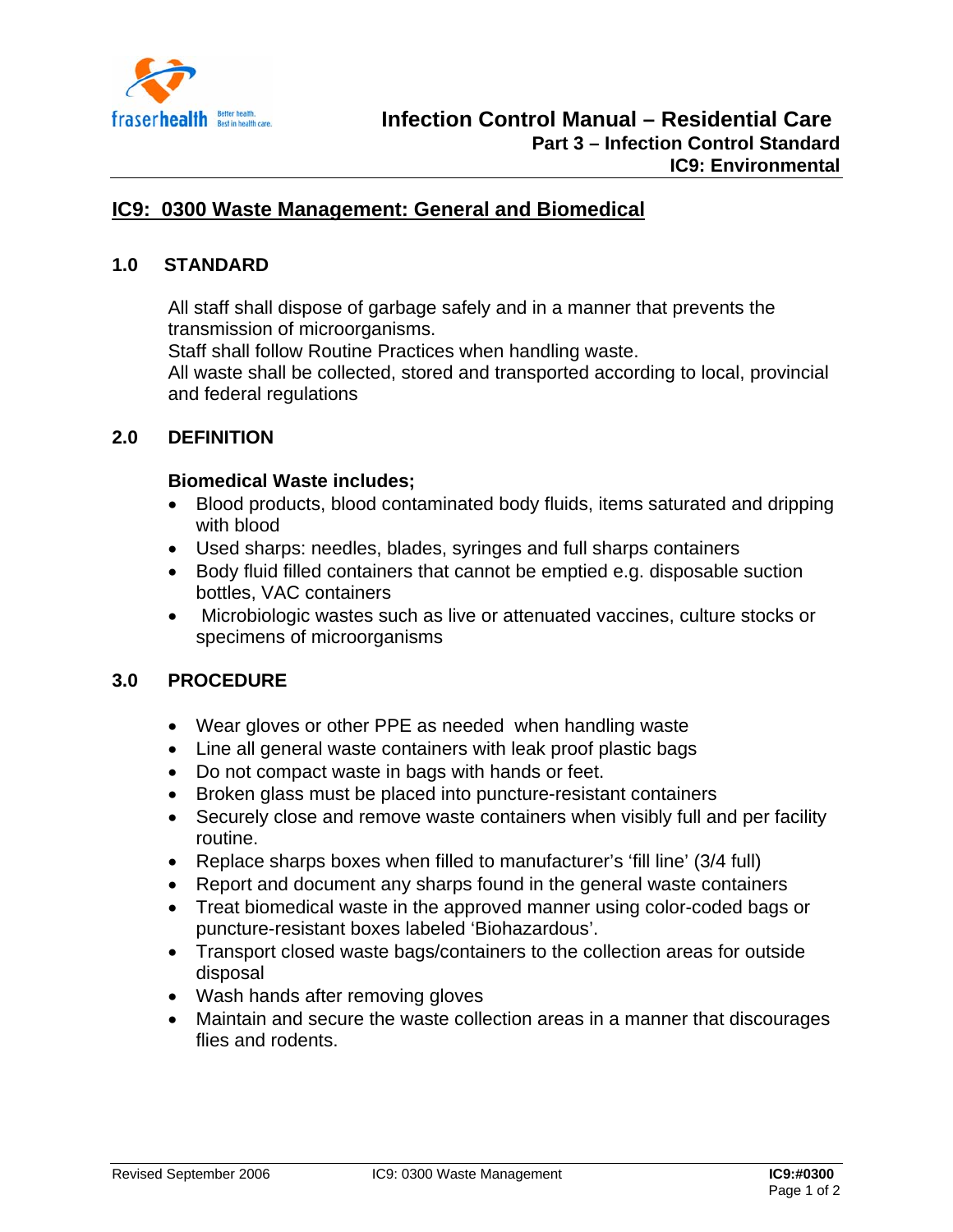

# **IC9: 0300 Waste Management: General and Biomedical**

## **1.0 STANDARD**

All staff shall dispose of garbage safely and in a manner that prevents the transmission of microorganisms.

Staff shall follow Routine Practices when handling waste.

All waste shall be collected, stored and transported according to local, provincial and federal regulations

#### **2.0 DEFINITION**

#### **Biomedical Waste includes;**

- Blood products, blood contaminated body fluids, items saturated and dripping with blood
- Used sharps: needles, blades, syringes and full sharps containers
- Body fluid filled containers that cannot be emptied e.g. disposable suction bottles, VAC containers
- Microbiologic wastes such as live or attenuated vaccines, culture stocks or specimens of microorganisms

#### **3.0 PROCEDURE**

- Wear gloves or other PPE as needed when handling waste
- Line all general waste containers with leak proof plastic bags
- Do not compact waste in bags with hands or feet.
- Broken glass must be placed into puncture-resistant containers
- Securely close and remove waste containers when visibly full and per facility routine.
- Replace sharps boxes when filled to manufacturer's 'fill line' (3/4 full)
- Report and document any sharps found in the general waste containers
- Treat biomedical waste in the approved manner using color-coded bags or puncture-resistant boxes labeled 'Biohazardous'.
- Transport closed waste bags/containers to the collection areas for outside disposal
- Wash hands after removing gloves
- Maintain and secure the waste collection areas in a manner that discourages flies and rodents.